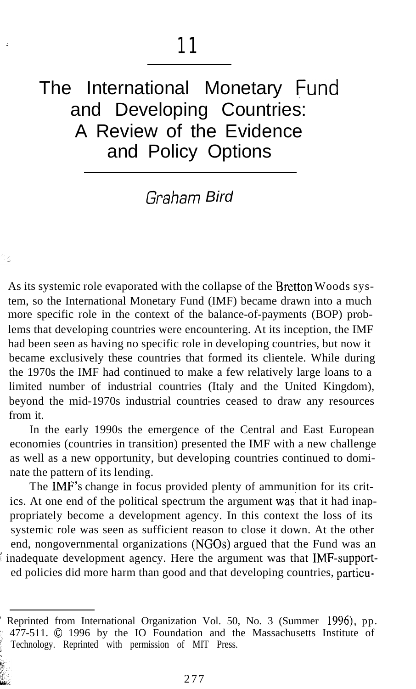# II 11

## The International Monetary Fund and Developing Countries: A Review of the Evidence and Policy Options

### *Bird*

As its systemic role evaporated with the collapse of the Bretton Woods system, so the International Monetary Fund (IMF) became drawn into a much more specific role in the context of the balance-of-payments (BOP) problems that developing countries were encountering. At its inception, the IMF had been seen as having no specific role in developing countries, but now it became exclusively these countries that formed its clientele. While during the 1970s the IMF had continued to make a few relatively large loans to a limited number of industrial countries (Italy and the United Kingdom), beyond the mid-1970s industrial countries ceased to draw any resources from it.

In the early 1990s the emergence of the Central and East European economies (countries in transition) presented the IMF with a new challenge as well as a new opportunity, but developing countries continued to dominate the pattern of its lending.

The IMF's change in focus provided plenty of ammunition for its critics. At one end of the political spectrum the argument was- that it had inappropriately become a development agency. In this context the loss of its systemic role was seen as sufficient reason to close it down. At the other end, nongovernmental organizations (NGOs) argued that the Fund was an  $\dot{\psi}$  inadequate development agency. Here the argument was that IMF-supported policies did more harm than good and that developing countries, particu-

 $\mathbf{v}$ 

<sup>1</sup> Reprinted from International Organization Vol. 50, No. 3 (Summer 1996)) pp. 477-511.  $\oslash$  1996 by the IO Foundation and the Massachusetts Institute of : Technology. Reprinted with permission of MIT Press.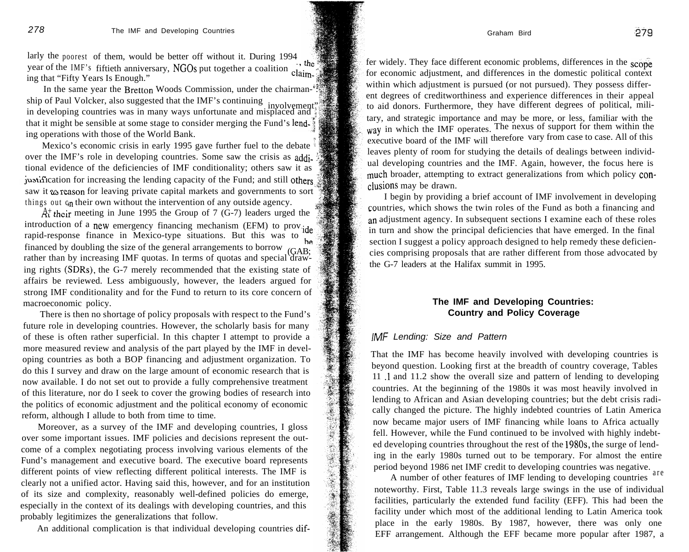larly the poorest of them, would be better off without it. During 1994 year of the IMF's fiftieth anniversary, NGOs put together a coalition claim-<br>ing that "Fifty Years Is Enough."

: i i

In the same year the Bretton Woods Commission, under the chairmanship of Paul Volcker, also suggested that the IMF's continuing involvement" in developing countries was in many ways unfortunate and misplaced and that it might be sensible at some stage to consider merging the Fund's lend- $\frac{1}{2}$ ing operations with those of the World Bank.

Mexico's economic crisis in early 1995 gave further fuel to the debate ' over the IMF's role in developing countries. Some saw the crisis as additional evidence of the deficiencies of IMF conditionality; others saw it as ' justification for increasing the lending capacity of the Fund; and still others saw it as reason for leaving private capital markets and governments to sort In the intervention of any outside agency.<br>
At their meeting in June 1995 the Group of 7 (G-7) leaders urged the things out on their own without the intervention of any outside agency.

introduction of a new emergency financing mechanism (EFM) to  $\text{prov}_{\text{ide}}$ rapid-response finance in Mexico-type situations. But this was to financed by doubling the size of the general arrangements to borrow  $(GAR)$ ; rather than by increasing IMF quotas. In terms of quotas and special drawing rights (SDRs), the G-7 merely recommended that the existing state of affairs be reviewed. Less ambiguously, however, the leaders argued for strong IMF conditionality and for the Fund to return to its core concern of macroeconomic policy.

There is then no shortage of policy proposals with respect to the Fund's future role in developing countries. However, the scholarly basis for many of these is often rather superficial. In this chapter I attempt to provide a more measured review and analysis of the part played by the IMF in developing countries as both a BOP financing and adjustment organization. To do this I survey and draw on the large amount of economic research that is now available. I do not set out to provide a fully comprehensive treatment of this literature, nor do I seek to cover the growing bodies of research into the politics of economic adjustment and the political economy of economic reform, although I allude to both from time to time.

Moreover, as a survey of the IMF and developing countries, I gloss over some important issues. IMF policies and decisions represent the outcome of a complex negotiating process involving various elements of the Fund's management and executive board. The executive board represents different points of view reflecting different political interests. The IMF is clearly not a unified actor. Having said this, however, and for an institution of its size and complexity, reasonably well-defined policies do emerge, especially in the context of its dealings with developing countries, and this probably legitimizes the generalizations that follow.

An additional complication is that individual developing countries dif-

fer widely. They face different economic problems, differences in the scope for economic adjustment, and differences in the domestic political context within which adjustment is pursued (or not pursued). They possess different degrees of creditworthiness and experience differences in their appeal to aid donors. Furthermore, they have different degrees of political, military, and strategic importance and may be more, or less, familiar with the way in which the IMF operates. The nexus of support for them within the executive board of the IMF will therefore vary from case to case. All of this leaves plenty of room for studying the details of dealings between individual developing countries and the IMF. Again, however, the focus here is much broader, attempting to extract generalizations from which policy conelusions may be drawn.

I begin by providing a brief account of IMF involvement in developing countries, which shows the twin roles of the Fund as both a financing and an adjustment agency. In subsequent sections I examine each of these roles in turn and show the principal deficiencies that have emerged. In the final section I suggest a policy approach designed to help remedy these deficiencies comprising proposals that are rather different from those advocated by the G-7 leaders at the Halifax summit in 1995.

#### **The IMF and Developing Countries: Country and Policy Coverage**

### *IMF Lending: Size and Pattern*

That the IMF has become heavily involved with developing countries is beyond question. Looking first at the breadth of country coverage, Tables 11 .l and 11.2 show the overall size and pattern of lending to developing countries. At the beginning of the 1980s it was most heavily involved in lending to African and Asian developing countries; but the debt crisis radically changed the picture. The highly indebted countries of Latin America now became major users of IMF financing while loans to Africa actually fell. However, while the Fund continued to be involved with highly indebted developing countries throughout the rest of the 198Os, the surge of lending in the early 1980s turned out to be temporary. For almost the entire period beyond 1986 net IMF credit to developing countries was negative.

A number of other features of IMF lending to developing countries noteworthy. First, Table 11.3 reveals large swings in the use of individual facilities, particularly the extended fund facility (EFF). This had been the facility under which most of the additional lending to Latin America took place in the early 1980s. By 1987, however, there was only one EFF arrangement. Although the EFF became more popular after 1987, a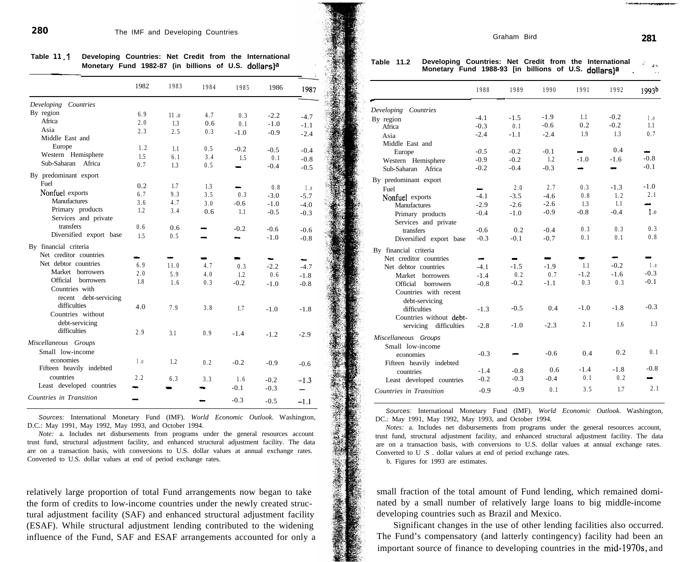| Table 11.1 | Developing Countries: Net Credit from the International<br>Monetary Fund 1982-87 (in billions of U.S. dollars) <sup>a</sup> |  |
|------------|-----------------------------------------------------------------------------------------------------------------------------|--|
|            |                                                                                                                             |  |

|                              | 1982 | 1983        | 1984 | 1985                     | 1986   | 1987   |
|------------------------------|------|-------------|------|--------------------------|--------|--------|
| Developing<br>Countries      |      |             |      |                          |        |        |
| By region                    | 6.9  |             |      |                          |        |        |
| Africa                       | 2.0  | 11.0<br>1.3 | 4.7  | 0.3                      | $-2.2$ | $-4.7$ |
| Asia                         | 2.3  |             | 0.6  | 0.1                      | $-1.0$ | $-1.1$ |
| Middle East and              |      | 2.5         | 0.3  | $-1.0$                   | $-0.9$ | $-2.4$ |
| Europe                       | 1.2  |             |      |                          |        |        |
| Western Hemisphere           | 1.5  | 1.1         | 0.5  | $-0.2$                   | $-0.5$ | $-0.4$ |
| Sub-Saharan<br>Africa        | 0.7  | 6.1         | 3.4  | 1.5                      | 0.1    | $-0.8$ |
|                              |      | 1.3         | 0.5  |                          | $-0.4$ | $-0.5$ |
| By predominant export        |      |             |      |                          |        |        |
| Fuel                         | 0.2  | 1.7         | 1.3  |                          | 0.8    | 1.0    |
| Nonfuel exports              | 6.7  | 9.3         | 3.5  | 0.3                      | $-3.0$ | $-5.7$ |
| Manufactures                 | 3.6  | 4.7         | 3.0  | $-0.6$                   | $-1.0$ | $-4.0$ |
| Primary products             | 1.2  | 3.4         | 0.6  | 1.1                      | $-0.5$ | $-0.3$ |
| Services and private         |      |             |      |                          |        |        |
| transfers                    | 0.6  | 0.6         |      | $-0.2$                   | $-0.6$ | $-0.6$ |
| Diversified export base      | 1.5  | 0.5         |      | $\overline{\phantom{a}}$ | $-1.0$ | $-0.8$ |
| By financial criteria        |      |             |      |                          |        |        |
| Net creditor countries       |      |             |      |                          |        |        |
| Net debtor countries         | 6.9  | 11.0        | 4.7  |                          | ۰.     |        |
| Market borrowers             | 2.0  |             |      | 0.3                      | $-2.2$ | $-4.7$ |
| Official<br><b>borrowers</b> | 1.8  | 5.9         | 4.0  | 1.2                      | 0.6    | $-1.8$ |
| Countries with               |      | 1.6         | 0.3  | $-0.2$                   | $-1.0$ | $-0.8$ |
| debt-servicing<br>recent     |      |             |      |                          |        |        |
| difficulties                 | 4.0  |             |      |                          |        |        |
| Countries without            |      | 7.9         | 3.8  | 1.7                      | $-1.0$ | $-1.8$ |
| debt-servicing               |      |             |      |                          |        |        |
| difficulties                 |      |             |      |                          |        |        |
|                              | 2.9  | 3.1         | 0.9  | $-1.4$                   | $-1.2$ | $-2.9$ |
| Miscellaneous Groups         |      |             |      |                          |        |        |
| Small low-income             |      |             |      |                          |        |        |
| economies                    | 1.0  | 1.2         | 0.2  | $-0.2$                   | $-0.9$ | $-0.6$ |
| Fifteen heavily indebted     |      |             |      |                          |        |        |
| countries                    | 2.2  | 6.3         | 3.3  | 1.6                      | $-0.2$ | $-1.3$ |
| Least developed countries    |      |             |      | $-0.1$                   | $-0.3$ |        |
| Countries in Transition      |      |             |      |                          |        |        |
|                              |      |             |      | $-0.3$                   | $-0.5$ | $-1.1$ |

*Sources:* International Monetary Fund (IMF). *World Economic Outlook.* Washington, D.C.: May 1991, May 1992, May 1993, and October 1994.

*Note:* a. Includes net disbursements from programs under the general resources account trust fund, structural adjustment facility, and enhanced structural adjustment facility. The data are on a transaction basis, with conversions to U.S. dollar values at annual exchange rates. Converted to U.S. dollar values at end of period exchange rates.

relatively large proportion of total Fund arrangements now began to take the form of credits to low-income countries under the newly created structural adjustment facility (SAF) and enhanced structural adjustment facility (ESAF). While structural adjustment lending contributed to the widening influence of the Fund, SAF and ESAF arrangements accounted for only a

**Table 11.2 Developing Countries: Net Credit from the International Monetary Fund 1988-93 [in billions of U.S. dollars)a**

|                              | 1988                     | 1989   | 1990   | 1991   | 1992   | 1993 <sub>b</sub> |
|------------------------------|--------------------------|--------|--------|--------|--------|-------------------|
| Countries<br>Developing      |                          |        |        |        |        |                   |
| By region                    | $-4.1$                   | $-1.5$ | $-1.9$ | 1.1    | $-0.2$ | 1.0               |
| Africa                       | $-0.3$                   | 0.1    | $-0.6$ | 0.2    | $-0.2$ | 1.1               |
| Asia                         | $-2.4$                   | $-1.1$ | $-2.4$ | 1.9    | 1.3    | 0.7               |
| Middle East and              |                          |        |        |        |        |                   |
| Europe                       | $-0.5$                   | $-0.2$ | $-0.1$ |        | 04     |                   |
| Western Hemisphere           | $-0.9$                   | $-0.2$ | 1.2    | $-1.0$ | $-1.6$ | $-0.8$            |
| Sub-Saharan<br>Africa        | $-0.2$                   | $-0.4$ | $-0.3$ |        |        | $-0.1$            |
| By predominant export        |                          |        |        |        |        |                   |
| Fuel                         |                          | 2.0    | 2.7    | 0.3    | $-1.3$ | $-1.0$            |
| Nonfuel exports              | $-4.1$                   | $-3.5$ | $-4.6$ | 0.8    | 1.2    | 2.1               |
| <b>Manufactures</b>          | $-2.9$                   | $-2.6$ | $-2.6$ | 1.3    | 1.1    | ana.              |
| Primary products             | $-0.4$                   | $-1.0$ | $-0.9$ | $-0.8$ | $-0.4$ | $\mathbf{1}$ .0   |
| Services and private         |                          |        |        |        |        |                   |
| transfers                    | $-0.6$                   | 0.2    | $-0.4$ | 0.3    | 0.3    | 0.3               |
| Diversified export base      | $-0.3$                   | $-0.1$ | $-0.7$ | 0.1    | 0.1    | 0.8               |
| By financial criteria        |                          |        |        |        |        |                   |
| Net creditor countries       | $\overline{\phantom{a}}$ |        | مسم    |        |        |                   |
| Net debtor countries         | $-41$                    | $-1.5$ | $-1.9$ | 1.1    | $-0.2$ | 1.0               |
| Market<br><b>borrowers</b>   | $-1.4$                   | 0.2    | 0.7    | $-1.2$ | $-1.6$ | $-0.3$            |
| Official<br><b>borrowers</b> | $-0.8$                   | $-0.2$ | $-1.1$ | 0.3    | 0.3    | $-0.1$            |
| Countries with recent        |                          |        |        |        |        |                   |
| debt-servicing               |                          |        |        |        |        |                   |
| difficulties                 | $-1.3$                   | $-0.5$ | 0.4    | $-1.0$ | $-1.8$ | $-0.3$            |
| Countries without debt-      |                          |        |        |        |        |                   |
| servicing difficulties       | $-2.8$                   | $-1.0$ | $-2.3$ | 2.1    | 1.6    | 1.3               |
| Miscellaneous Groups         |                          |        |        |        |        |                   |
| Small low-income             |                          |        |        |        |        |                   |
| economies                    | $-0.3$                   |        | $-0.6$ | 0.4    | 0.2    | 0.1               |
| Fifteen heavily indebted     |                          |        |        |        |        |                   |
| countries                    | $-1.4$                   | $-0.8$ | 06     | $-1.4$ | $-1.8$ | $-0.8$            |
| Least developed countries    | $-0.2$                   | $-0.3$ | $-0.4$ | 0.1    | 0.2    |                   |
|                              |                          | $-0.9$ | 0.1    | 3.5    | 1.7    | 2.1               |
| Countries in Transition      | $-0.9$                   |        |        |        |        |                   |

*Sources:* International Monetary Fund (IMF). *World Economic Outlook.* Washington, DC.: May 1991, May 1992, May 1993, and October 1994.

*Notes:* a. Includes net disbursements from programs under the general resources account, trust fund, structural adjustment facility, and enhanced structural adjustment facility. The data are on a transaction basis, with conversions to U.S. dollar values at annual exchange rates. Converted to U .S . dollar values at end of period exchange rates.

b. Figures for 1993 are estimates.

small fraction of the total amount of Fund lending, which remained dominated by a small number of relatively large loans to big middle-income developing countries such as Brazil and Mexico.

Significant changes in the use of other lending facilities also occurred. The Fund's compensatory (and latterly contingency) facility had been an important source of finance to developing countries in the mid-1970s, and

**.j ,r . . .**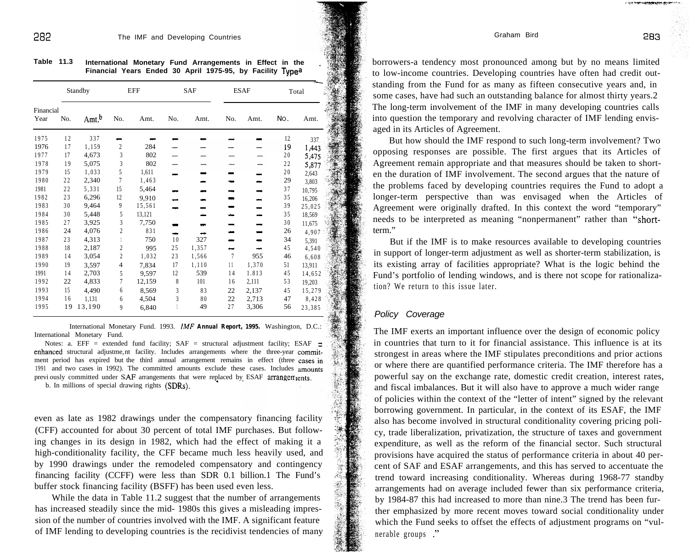**Table 11.3 International Monetary Fund Arrangements in Effect in the . Financial Years Ended 30 April 1975-95, by Facility Typea**

|                   |     | Standby           |                | <b>EFF</b> |     | <b>SAF</b> |     | <b>ESAF</b> |     | Total  |  |
|-------------------|-----|-------------------|----------------|------------|-----|------------|-----|-------------|-----|--------|--|
| Financial<br>Year | No. | Amt. <sup>b</sup> | No.            | Amt.       | No. | Amt.       | No. | Amt.        | No. | Amt.   |  |
| 1975              | 12  | 337               |                |            |     |            |     |             | 12. | 337.   |  |
| 1976              | 17  | 1,159             | $\overline{c}$ | 284        |     |            |     |             | 19  | 1,443  |  |
| 1977              | 17  | 4,673             | 3              | 802        |     |            |     |             | 20  | 5,475  |  |
| 1978              | 19  | 5.075             | 3              | 802        |     |            |     |             | 22  | 5,877  |  |
| 1979              | 15  | 1,033             | 5              | 1,611      |     |            |     |             | 20  | 2,643  |  |
| 1980              | 22  | 2,340             | 7              | 1,463      |     |            |     |             | 29  | 3,803  |  |
| 1981              | 22  | 5,331             | 15             | 5,464      |     |            |     |             | 37  | 10.795 |  |
| 1982              | 23  | 6,296             | 12             | 9.910      |     |            |     |             | 35  | 16,206 |  |
| 1983              | 30  | 9,464             | 9              | 15,561     |     |            |     |             | 39  | 25,025 |  |
| 1984              | 30  | 5,448             | 5              | 13,121     |     |            |     |             | 35  | 18,569 |  |
| 1985              | 27  | 3,925             | 3              | 7,750      |     |            |     |             | 30  | 11,675 |  |
| 1986              | 24  | 4,076             | 2              | 831        |     |            |     | سمه         | 26  | 4,907  |  |
| 1987              | 23  | 4,313             |                | 750        | 10  | 327        |     |             | 34  | 5,391  |  |
| 1988              | 18  | 2,187             | $\overline{c}$ | 995        | 25  | 1,357      | -   | ⊷           | 45  | 4,540  |  |
| 1989              | 14  | 3,054             | $\overline{2}$ | 1,032      | 23  | 1,566      | 7   | 955         | 46  | 6,608  |  |
| 1990              | 19  | 3.597             | $\overline{4}$ | 7.834      | 17  | 1,110      | 11  | 1,370       | 51  | 13,911 |  |
| 1991              | 14  | 2,703             | 5              | 9,597      | 12  | 539        | 14  | 1.813       | 45  | 14,652 |  |
| 1992              | 22  | 4,833             | 7              | 12,159     | 8   | 101        | 16  | 2,111       | 53  | 19,203 |  |
| 1993              | 15  | 4.490             | 6              | 8,569      | 3   | 83         | 22  | 2,137       | 45  | 15,279 |  |
| 1994              | 16  | 1.131             | 6              | 4,504      | 3   | 80         | 22  | 2,713       | 47  | 8,428  |  |
| 1995              | 19  | 13,190            | 9              | 6,840      |     | 49         | 27  | 3,306       | 56  | 23,385 |  |

International Monetary Fund. 1993. *IMF Annual Report, 1995.* Washington, D.C.: International Monetary Fund.

Notes: a. EFF = extended fund facility;  $SAF =$  structural adjustment facility; ESAF = enhanced structural adjustme,nt facility. Includes arrangements where the three-year commitment period has expired but the third annual arrangement remains in effect (three cases in 1991 and two cases in 1992). The committed amounts exclude these cases. Includes previ ously committed under SAF arrangements that were replaced by ESAF arrangements.

b. In millions of special drawing rights  $(SDRs)$ .

even as late as 1982 drawings under the compensatory financing facility (CFF) accounted for about 30 percent of total IMF purchases. But following changes in its design in 1982, which had the effect of making it a high-conditionality facility, the CFF became much less heavily used, and by 1990 drawings under the remodeled compensatory and contingency financing facility (CCFF) were less than SDR  $0.1$  billion.1 The Fund's buffer stock financing facility (BSFF) has been used even less.

While the data in Table 11.2 suggest that the number of arrangements has increased steadily since the mid- 1980s this gives a misleading impression of the number of countries involved with the IMF. A significant feature of IMF lending to developing countries is the recidivist tendencies of many

borrowers-a tendency most pronounced among but by no means limited to low-income countries. Developing countries have often had credit outstanding from the Fund for as many as fifteen consecutive years and, in some cases, have had such an outstanding balance for almost thirty years.2 The long-term involvement of the IMF in many developing countries calls into question the temporary and revolving character of IMF lending envisaged in its Articles of Agreement.

But how should the IMF respond to such long-term involvement? Two opposing responses are possible. The first argues that its Articles of Agreement remain appropriate and that measures should be taken to shorten the duration of IMF involvement. The second argues that the nature of the problems faced by developing countries requires the Fund to adopt a longer-term perspective than was envisaged when the Articles of Agreement were originally drafted. In this context the word "temporary" needs to be interpreted as meaning "nonpermanent" rather than "shortterm."

But if the IMF is to make resources available to developing countries in support of longer-term adjustment as well as shorter-term stabilization, is its existing array of facilities appropriate? What is the logic behind the Fund's portfolio of lending windows, and is there not scope for rationalization? We return to this issue later.

#### *Policy Coverage*

i.3**\***

**ii,, .&\_,**

> $\mathcal{F}_2$  $:$   $\cdot$

> > $\sim$  extra

:J,-; ,\*! ' The IMF exerts an important influence over the design of economic policy in countries that turn to it for financial assistance. This influence is at its strongest in areas where the IMF stipulates preconditions and prior actions or where there are quantified performance criteria. The IMF therefore has a powerful say on the exchange rate, domestic credit creation, interest rates, and fiscal imbalances. But it will also have to approve a much wider range of policies within the context of the "letter of intent" signed by the relevant borrowing government. In particular, in the context of its ESAF, the IMF also has become involved in structural conditionality covering pricing policy, trade liberalization, privatization, the structure of taxes and government expenditure, as well as the reform of the financial sector. Such structural provisions have acquired the status of performance criteria in about 40 percent of SAF and ESAF arrangements, and this has served to accentuate the trend toward increasing conditionality. Whereas during 1968-77 standby arrangements had on average included fewer than six performance criteria, by 1984-87 this had increased to more than nine.3 The trend has been further emphasized by more recent moves toward social conditionality under which the Fund seeks to offset the effects of adjustment programs on "vulnerable groups ."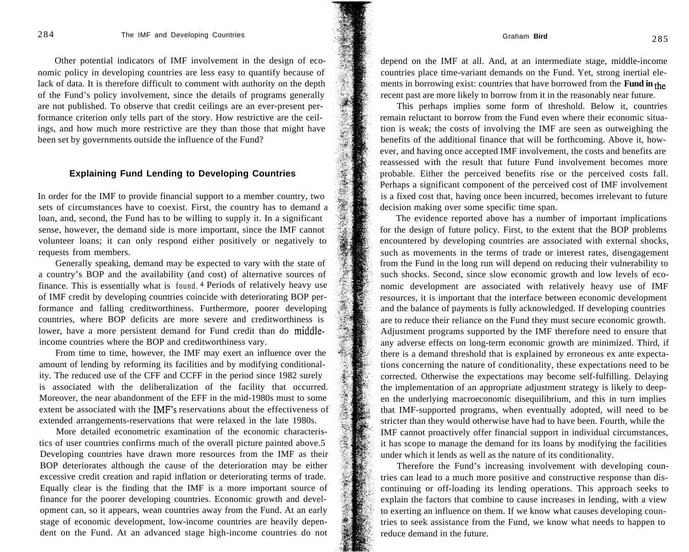Other potential indicators of IMF involvement in the design of economic policy in developing countries are less easy to quantify because of lack of data. It is therefore difficult to comment with authority on the depth of the Fund's policy involvement, since the details of programs generally are not published. To observe that credit ceilings are an ever-present performance criterion only tells part of the story. How restrictive are the ceilings, and how much more restrictive are they than those that might have been set by governments outside the influence of the Fund?

#### **Explaining Fund Lending to Developing Countries**

In order for the IMF to provide financial support to a member country, two sets of circumstances have to coexist. First, the country has to demand a loan, and, second, the Fund has to be willing to supply it. In a significant sense, however, the demand side is more important, since the IMF cannot volunteer loans; it can only respond either positively or negatively to requests from members.

Generally speaking, demand may be expected to vary with the state of a country's BOP and the availability (and cost) of alternative sources of finance. This is essentially what is found. 4 Periods of relatively heavy use of IMF credit by developing countries coincide with deteriorating BOP performance and falling creditworthiness. Furthermore, poorer developing countries, where BOP deficits are more severe and creditworthiness is lower, have a more persistent demand for Fund credit than do middleincome countries where the BOP and creditworthiness vary.

From time to time, however, the IMF may exert an influence over the amount of lending by reforming its facilities and by modifying conditionality. The reduced use of the CFF and CCFF in the period since 1982 surely is associated with the deliberalization of the facility that occurred. Moreover, the near abandonment of the EFF in the mid-1980s must to some extent be associated with the IMF's reservations about the effectiveness of extended arrangements-reservations that were relaxed in the late 1980s.

More detailed econometric examination of the economic characteristics of user countries confirms much of the overall picture painted above.5 Developing countries have drawn more resources from the IMF as their BOP deteriorates although the cause of the deterioration may be either excessive credit creation and rapid inflation or deteriorating terms of trade. Equally clear is the finding that the IMF is a more important source of finance for the poorer developing countries. Economic growth and development can, so it appears, wean countries away from the Fund. At an early stage of economic development, low-income countries are heavily dependent on the Fund. At an advanced stage high-income countries do not

depend on the IMF at all. And, at an intermediate stage, middle-income countries place time-variant demands on the Fund. Yet, strong inertial elements in borrowing exist: countries that have borrowed from the **Fund in the** recent past are more likely to borrow from it in the reasonably near future.

This perhaps implies some form of threshold. Below it, countries remain reluctant to borrow from the Fund even where their economic situation is weak; the costs of involving the IMF are seen as outweighing the benefits of the additional finance that will be forthcoming. Above it, however, and having once accepted IMF involvement, the costs and benefits are reassessed with the result that future Fund involvement becomes more probable. Either the perceived benefits rise or the perceived costs fall. Perhaps a significant component of the perceived cost of IMF involvement is a fixed cost that, having once been incurred, becomes irrelevant to future decision making over some specific time span.

The evidence reported above has a number of important implications for the design of future policy. First, to the extent that the BOP problems encountered by developing countries are associated with external shocks, such as movements in the terms of trade or interest rates, disengagement from the Fund in the long run will depend on reducing their vulnerability to such shocks. Second, since slow economic growth and low levels of economic development are associated with relatively heavy use of IMF resources, it is important that the interface between economic development and the balance of payments is fully acknowledged. If developing countries are to reduce their reliance on the Fund they must secure economic growth. Adjustment programs supported by the IMF therefore need to ensure that any adverse effects on long-term economic growth are minimized. Third, if there is a demand threshold that is explained by erroneous ex ante expectations concerning the nature of conditionality, these expectations need to be corrected. Otherwise the expectations may become self-fulfilling. Delaying the implementation of an appropriate adjustment strategy is likely to deepen the underlying macroeconomic disequilibrium, and this in turn implies that IMF-supported programs, when eventually adopted, will need to be stricter than they would otherwise have had to have been. Fourth, while the IMF cannot proactively offer financial support in individual circumstances, it has scope to manage the demand for its loans by modifying the facilities under which it lends as well as the nature of its conditionality.

Therefore the Fund's increasing involvement with developing countries can lead to a much more positive and constructive response than discontinuing or off-loading its lending operations. This approach seeks to explain the factors that combine to cause increases in lending, with a view to exerting an influence on them. If we know what causes developing countries to seek assistance from the Fund, we know what needs to happen to reduce demand in the future.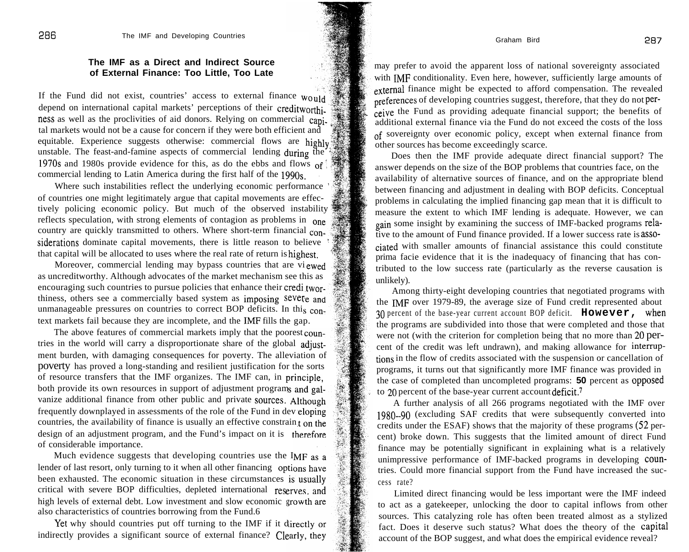#### **The IMF as a Direct and Indirect Source of External Finance: Too Little, Too Late**

If the Fund did not exist, countries' access to external finance  $would$ depend on international capital markets' perceptions of their creditworthi. ness as well as the proclivities of aid donors. Relying on commercial capital markets would not be a cause for concern if they were both efficient and equitable. Experience suggests otherwise: commercial flows are highly unstable. The feast-and-famine aspects of commercial lending during the 1970s and 1980s provide evidence for this, as do the ebbs and flows of  $\frac{188}{12}$ commercial lending to Latin America during the first half of the 1990s. .

Where such instabilities reflect the underlying economic performance of countries one might legitimately argue that capital movements are effectively policing economic policy. But much of the observed instability reflects speculation, with strong elements of contagion as problems in one country are quickly transmitted to others. Where short-term financial considerations dominate capital movements, there is little reason to believe that capital will be allocated to uses where the real rate of return is highest. <sup>I</sup>

Moreover, commercial lending may bypass countries that are viewed as uncreditworthy. Although advocates of the market mechanism see this as unlikely).<br>encouraging such countries to pursue policies that enhance their credit worthiness, others see a commercially based system as imposing severe and<br>unmanageable pressures on countries to correct BOP deficits. In this con-<br>and a consecuted about the base was aware wrent account BOP deficit. However, text markets fail because they are incomplete, and the IMF fills the gap.

The above features of commercial markets imply that the poorest countries in the world will carry a disproportionate share of the global ment burden, with damaging consequences for poverty. The alleviation of tions in the flow of credits associated with the suspension or cancellation of poverty has proved a long-standing and resilient justification for the sorts programs, it turns out that significantly more IMF finance was provided in of resource transfers that the IMF organizes. The IMF can, in principle, both provide its own resources in support of adjustment programs and galvanize additional finance from other public and private sources. Although a second of further analysis of all 266 programs negotiated with the IMF over<br>frequently downplayed in assessments of the role of the Fund in develo countries, the availability of finance is usually an effective constraint on the design of an adjustment program, and the Fund's impact on it is therefore

Much evidence suggests that developing countries use the IMF as a lender of last resort, only turning to it when all other financing options have been exhausted. The economic situation in these circumstances is usually critical with severe BOP difficulties, depleted international reserves. and **Exercise Limited direct financing would be less important were the IMF indeed** high levels of external debt. Low investment and slow economic growth are also characteristics of countries borrowing from the Fund.6

Yet why should countries put off turning to the IMF if it directly or

may prefer to avoid the apparent loss of national sovereignty associated with IMF conditionality. Even here, however, sufficiently large amounts of external finance might be expected to afford compensation. The revealed preferences of developing countries suggest, therefore, that they do not perceive the Fund as providing adequate financial support; the benefits of additional external finance via the Fund do not exceed the costs of the loss of sovereignty over economic policy, except when external finance from other sources has become exceedingly scarce.

Does then the IMF provide adequate direct financial support? The answer depends on the size of the BOP problems that countries face, on the availability of alternative sources of finance, and on the appropriate blend between financing and adjustment in dealing with BOP deficits. Conceptual ; problems in calculating the implied financing gap mean that it is difficult to measure the extent to which IMF lending is adequate. However, we can gain some insight by examining the success of IMF-backed programs relative to the amount of Fund finance provided. If a lower success rate is asso-\_ ciated with smaller amounts of financial assistance this could constitute prima facie evidence that it is the inadequacy of financing that has contributed to the low success rate (particularly as the reverse causation is

Among thirty-eight developing countries that negotiated programs with 30 percent of the base-year current account BOP deficit. **However,** when the programs are subdivided into those that were completed and those that were not (with the criterion for completion being that no more than 20 percent of the credit was left undrawn), and making allowance for interrupthe case of completed than uncompleted programs: **50** percent as opposed to 20 percent of the base-year current account deficit.7

1980-90 (excluding SAF credits that were subsequently converted into credits under the ESAF) shows that the majority of these programs (52 percent) broke down. This suggests that the limited amount of direct Fund of considerable importance. finance may be potentially significant in explaining what is a relatively unimpressive performance of IMF-backed programs in developing countries. Could more financial support from the Fund have increased the success rate?

to act as a gatekeeper, unlocking the door to capital inflows from other sources. This catalyzing role has often been treated almost as a stylized fact. Does it deserve such status? What does the theory of the capital indirectly provides a significant source of external finance? Clearly, they account of the BOP suggest, and what does the empirical evidence reveal?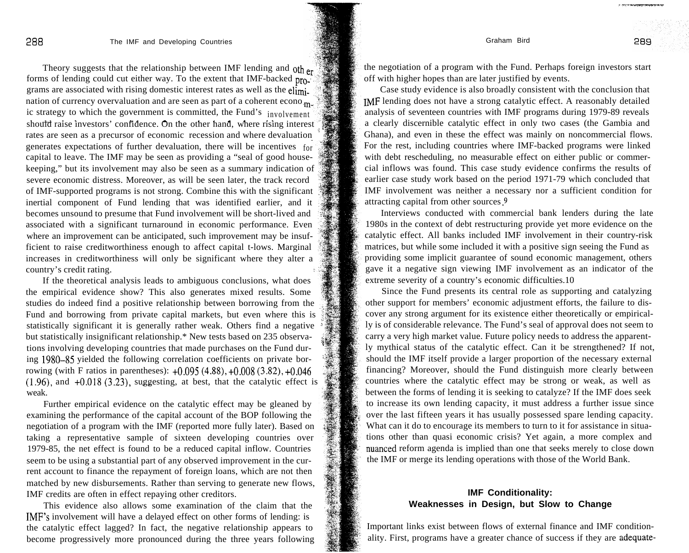Graham Bird

#### 288 The IMF and Developing Countries

should raise investors' confidence. On the other hand, where rising interest rates are seen as a precursor of economic recession and where devaluation figures of IMF-supported programs is not strong. Combine this with the significant Theory suggests that the relationship between IMF lending and oth er forms of lending could cut either way. To the extent that IMF-backed pro-' grams are associated with rising domestic interest rates as well as the  $elimi$ . nation of currency overvaluation and are seen as part of a coherent econo $_{\text{m}}$ . ic strategy to which the government is committed, the Fund's involvement generates expectations of further devaluation, there will be incentives for capital to leave. The IMF may be seen as providing a "seal of good housekeeping," but its involvement may also be seen as a summary indication of severe economic distress. Moreover, as will be seen later, the track record inertial component of Fund lending that was identified earlier, and it becomes unsound to presume that Fund involvement will be short-lived and associated with a significant turnaround in economic performance. Even where an improvement can be anticipated, such improvement may be insufficient to raise creditworthiness enough to affect capital t-lows. Marginal increases in creditworthiness will only be significant where they alter a country's credit rating.

the empirical evidence show? This also generates mixed results. Some <sup>3</sup> studies do indeed find a positive relationship between borrowing from the Fund and borrowing from private capital markets, but even where this is i statistically significant it is generally rather weak. Others find a negative but statistically insignificant relationship.\* New tests based on 235 observations involving developing countries that made purchases on the Fund during 1980-85 yielded the following correlation coefficients on private bor- ' rowing (with F ratios in parentheses): +0.095 (4.88), +0.008 (3.82), +0.046  $(1.96)$ , and  $+0.018$   $(3.23)$ , suggesting, at best, that the catalytic effect is If the theoretical analysis leads to ambiguous conclusions, what does weak.

Further empirical evidence on the catalytic effect may be gleaned by examining the performance of the capital account of the BOP following the negotiation of a program with the IMF (reported more fully later). Based on taking a representative sample of sixteen developing countries over 1979-85, the net effect is found to be a reduced capital inflow. Countries matched by new disbursements. Rather than serving to generate new flows, IMF credits are often in effect repaying other creditors. seem to be using a substantial part of any observed improvement in the current account to finance the repayment of foreign loans, which are not then

This evidence also allows some examination of the claim that the IMF's involvement will have a delayed effect on other forms of lending: is the catalytic effect lagged? In fact, the negative relationship appears to become progressively more pronounced during the three years following

the negotiation of a program with the Fund. Perhaps foreign investors start off with higher hopes than are later justified by events.

Case study evidence is also broadly consistent with the conclusion that I&IF lending does not have a strong catalytic effect. A reasonably detailed analysis of seventeen countries with IMF programs during 1979-89 reveals a clearly discernible catalytic effect in only two cases (the Gambia and Ghana), and even in these the effect was mainly on noncommercial flows. For the rest, including countries where IMF-backed programs were linked with debt rescheduling, no measurable effect on either public or commercial inflows was found. This case study evidence confirms the results of earlier case study work based on the period 1971-79 which concluded that IMF involvement was neither a necessary nor a sufficient condition for attracting capital from other sources ,9

Interviews conducted with commercial bank lenders during the late 1980s in the context of debt restructuring provide yet more evidence on the catalytic effect. All banks included IMF involvement in their country-risk matrices, but while some included it with a positive sign seeing the Fund as providing some implicit guarantee of sound economic management, others gave it a negative sign viewing IMF involvement as an indicator of the extreme severity of a country's economic difficulties.10

Since the Fund presents its central role as supporting and catalyzing other support for members' economic adjustment efforts, the failure to discover any strong argument for its existence either theoretically or empirically is of considerable relevance. The Fund's seal of approval does not seem to carry a very high market value. Future policy needs to address the apparently mythical status of the catalytic effect. Can it be strengthened? If not, should the IMF itself provide a larger proportion of the necessary external financing? Moreover, should the Fund distinguish more clearly between countries where the catalytic effect may be strong or weak, as well as between the forms of lending it is seeking to catalyze? If the IMF does seek to increase its own lending capacity, it must address a further issue since over the last fifteen years it has usually possessed spare lending capacity. What can it do to encourage its members to turn to it for assistance in situations other than quasi economic crisis? Yet again, a more complex and nuanced reform agenda is implied than one that seeks merely to close down the IMF or merge its lending operations with those of the World Bank.

#### **IMF Conditionality: Weaknesses in Design, but Slow to Change**

Important links exist between flows of external finance and IMF conditionality. First, programs have a greater chance of success if they are adequate-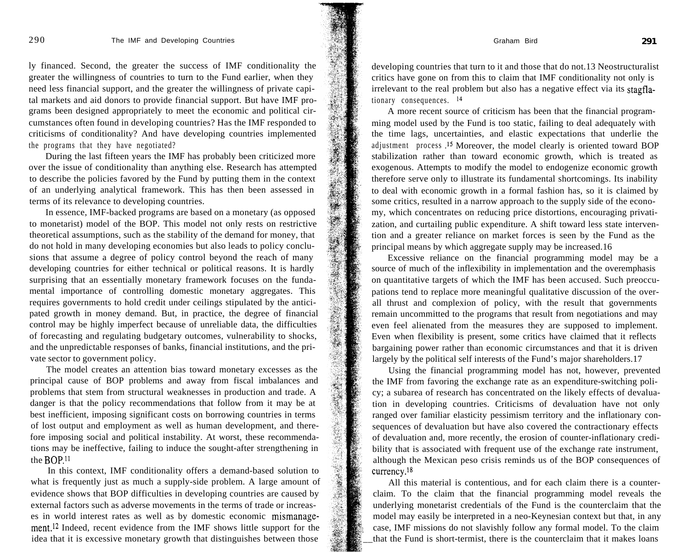Graham Bird **291**

ly financed. Second, the greater the success of IMF conditionality the greater the willingness of countries to turn to the Fund earlier, when they need less financial support, and the greater the willingness of private capital markets and aid donors to provide financial support. But have IMF programs been designed appropriately to meet the economic and political circumstances often found in developing countries? Has the IMF responded to criticisms of conditionality? And have developing countries implemented the programs that they have negotiated?

i Pr

During the last fifteen years the IMF has probably been criticized more over the issue of conditionality than anything else. Research has attempted to describe the policies favored by the Fund by putting them in the context of an underlying analytical framework. This has then been assessed in terms of its relevance to developing countries.

In essence, IMF-backed programs are based on a monetary (as opposed to monetarist) model of the BOP. This model not only rests on restrictive theoretical assumptions, such as the stability of the demand for money, that do not hold in many developing economies but also leads to policy conclusions that assume a degree of policy control beyond the reach of many developing countries for either technical or political reasons. It is hardly surprising that an essentially monetary framework focuses on the fundamental importance of controlling domestic monetary aggregates. This requires governments to hold credit under ceilings stipulated by the anticipated growth in money demand. But, in practice, the degree of financial control may be highly imperfect because of unreliable data, the difficulties of forecasting and regulating budgetary outcomes, vulnerability to shocks, and the unpredictable responses of banks, financial institutions, and the private sector to government policy.

The model creates an attention bias toward monetary excesses as the principal cause of BOP problems and away from fiscal imbalances and problems that stem from structural weaknesses in production and trade. A danger is that the policy recommendations that follow from it may be at best inefficient, imposing significant costs on borrowing countries in terms of lost output and employment as well as human development, and therefore imposing social and political instability. At worst, these recommendations may be ineffective, failing to induce the sought-after strengthening in the BOP.11

In this context, IMF conditionality offers a demand-based solution to what is frequently just as much a supply-side problem. A large amount of evidence shows that BOP difficulties in developing countries are caused by external factors such as adverse movements in the terms of trade or increases in world interest rates as well as by domestic economic mismanagement.12 Indeed, recent evidence from the IMF shows little support for the idea that it is excessive monetary growth that distinguishes between those

developing countries that turn to it and those that do not.13 Neostructuralist critics have gone on from this to claim that IMF conditionality not only is irrelevant to the real problem but also has a negative effect via its stagflationary consequences. l4

A more recent source of criticism has been that the financial programming model used by the Fund is too static, failing to deal adequately with the time lags, uncertainties, and elastic expectations that underlie the adjustment process .15 Moreover, the model clearly is oriented toward BOP stabilization rather than toward economic growth, which is treated as exogenous. Attempts to modify the model to endogenize economic growth therefore serve only to illustrate its fundamental shortcomings. Its inability to deal with economic growth in a formal fashion has, so it is claimed by some critics, resulted in a narrow approach to the supply side of the economy, which concentrates on reducing price distortions, encouraging privatization, and curtailing public expenditure. A shift toward less state intervention and a greater reliance on market forces is seen by the Fund as the principal means by which aggregate supply may be increased.16

Excessive reliance on the financial programming model may be a source of much of the inflexibility in implementation and the overemphasis on quantitative targets of which the IMF has been accused. Such preoccupations tend to replace more meaningful qualitative discussion of the overall thrust and complexion of policy, with the result that governments remain uncommitted to the programs that result from negotiations and may even feel alienated from the measures they are supposed to implement. Even when flexibility is present, some critics have claimed that it reflects bargaining power rather than economic circumstances and that it is driven largely by the political self interests of the Fund's major shareholders.17

Using the financial programming model has not, however, prevented the IMF from favoring the exchange rate as an expenditure-switching policy; a subarea of research has concentrated on the likely effects of devaluation in developing countries. Criticisms of devaluation have not only ranged over familiar elasticity pessimism territory and the inflationary consequences of devaluation but have also covered the contractionary effects of devaluation and, more recently, the erosion of counter-inflationary credibility that is associated with frequent use of the exchange rate instrument, although the Mexican peso crisis reminds us of the BOP consequences of currency. $18$ 

All this material is contentious, and for each claim there is a counterclaim. To the claim that the financial programming model reveals the underlying monetarist credentials of the Fund is the counterclaim that the model may easily be interpreted in a neo-Keynesian context but that, in any : case, IMF missions do not slavishly follow any formal model. To the claim that the Fund is short-termist, there is the counterclaim that it makes loans